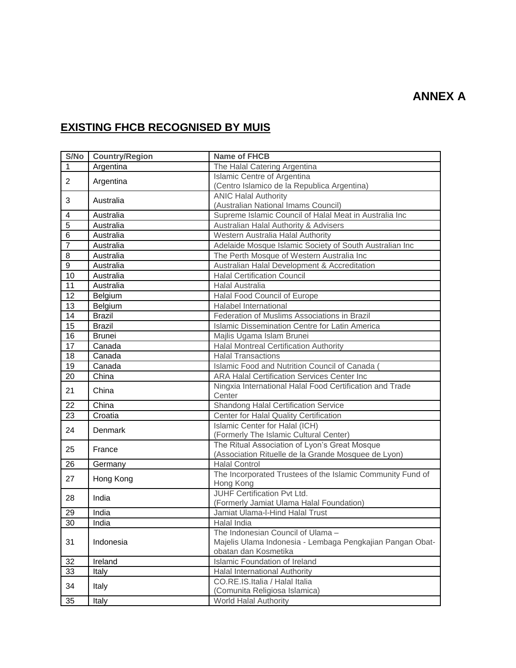## **EXISTING FHCB RECOGNISED BY MUIS**

| S/No           | <b>Country/Region</b> | <b>Name of FHCB</b>                                                |
|----------------|-----------------------|--------------------------------------------------------------------|
| $\mathbf{1}$   | Argentina             | The Halal Catering Argentina                                       |
| $\overline{2}$ | Argentina             | Islamic Centre of Argentina                                        |
|                |                       | (Centro Islamico de la Republica Argentina)                        |
| 3              | Australia             | <b>ANIC Halal Authority</b>                                        |
|                |                       | (Australian National Imams Council)                                |
| 4              | Australia             | Supreme Islamic Council of Halal Meat in Australia Inc             |
| $\overline{5}$ | Australia             | Australian Halal Authority & Advisers                              |
| $\overline{6}$ | Australia             | Western Australia Halal Authority                                  |
| 7              | Australia             | Adelaide Mosque Islamic Society of South Australian Inc            |
| 8              | Australia             | The Perth Mosque of Western Australia Inc                          |
| $\overline{9}$ | Australia             | Australian Halal Development & Accreditation                       |
| 10             | Australia             | <b>Halal Certification Council</b>                                 |
| 11             | Australia             | <b>Halal Australia</b>                                             |
| 12             | Belgium               | Halal Food Council of Europe                                       |
| 13             | Belgium               | Halabel International                                              |
| 14             | <b>Brazil</b>         | Federation of Muslims Associations in Brazil                       |
| 15             | <b>Brazil</b>         | Islamic Dissemination Centre for Latin America                     |
| 16             | <b>Brunei</b>         | Majlis Ugama Islam Brunei                                          |
| 17             | Canada                | <b>Halal Montreal Certification Authority</b>                      |
| 18             | Canada                | <b>Halal Transactions</b>                                          |
| 19             | Canada                | Islamic Food and Nutrition Council of Canada (                     |
| 20             | China                 | <b>ARA Halal Certification Services Center Inc</b>                 |
| 21             | China                 | Ningxia International Halal Food Certification and Trade<br>Center |
| 22             | China                 | Shandong Halal Certification Service                               |
| 23             | Croatia               | Center for Halal Quality Certification                             |
| 24             | Denmark               | Islamic Center for Halal (ICH)                                     |
|                |                       | (Formerly The Islamic Cultural Center)                             |
| 25             | France                | The Ritual Association of Lyon's Great Mosque                      |
|                |                       | (Association Rituelle de la Grande Mosquee de Lyon)                |
| 26             | Germany               | <b>Halal Control</b>                                               |
| 27             | Hong Kong             | The Incorporated Trustees of the Islamic Community Fund of         |
|                |                       | Hong Kong                                                          |
| 28             | India                 | <b>JUHF Certification Pvt Ltd.</b>                                 |
|                |                       | (Formerly Jamiat Ulama Halal Foundation)                           |
| 29             | India                 | Jamiat Ulama-I-Hind Halal Trust                                    |
| 30             | India                 | Halal India                                                        |
| 31             | Indonesia             | The Indonesian Council of Ulama -                                  |
|                |                       | Majelis Ulama Indonesia - Lembaga Pengkajian Pangan Obat-          |
|                |                       | obatan dan Kosmetika                                               |
| 32             | Ireland               | <b>Islamic Foundation of Ireland</b>                               |
| 33             | Italy                 | Halal International Authority                                      |
| 34             | Italy                 | CO.RE.IS.Italia / Halal Italia                                     |
|                |                       | (Comunita Religiosa Islamica)                                      |
| 35             | Italy                 | World Halal Authority                                              |